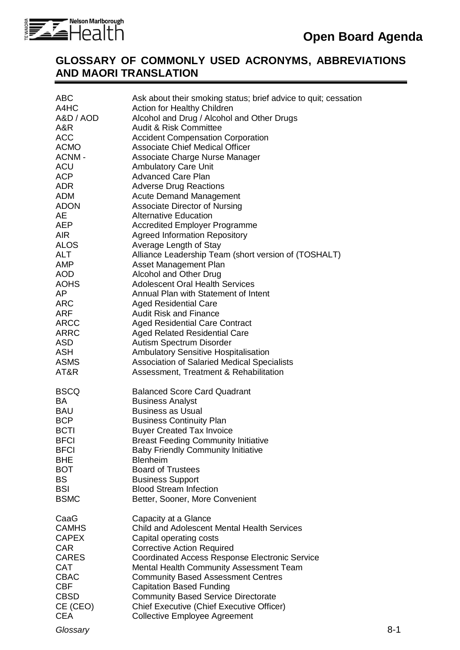

## **GLOSSARY OF COMMONLY USED ACRONYMS, ABBREVIATIONS AND MAORI TRANSLATION**

| <b>ABC</b><br>A4HC<br>A&D / AOD<br>A&R<br><b>ACC</b><br><b>ACMO</b><br>ACNM-<br><b>ACU</b><br>ACP<br>ADR<br>ADM<br>ADON<br>AE<br>AEP<br><b>AIR</b><br><b>ALOS</b><br><b>ALT</b><br><b>AMP</b><br><b>AOD</b><br><b>AOHS</b><br>AP<br><b>ARC</b><br>ARF<br><b>ARCC</b><br><b>ARRC</b><br><b>ASD</b> | Ask about their smoking status; brief advice to quit; cessation<br>Action for Healthy Children<br>Alcohol and Drug / Alcohol and Other Drugs<br><b>Audit &amp; Risk Committee</b><br><b>Accident Compensation Corporation</b><br><b>Associate Chief Medical Officer</b><br>Associate Charge Nurse Manager<br><b>Ambulatory Care Unit</b><br><b>Advanced Care Plan</b><br><b>Adverse Drug Reactions</b><br><b>Acute Demand Management</b><br><b>Associate Director of Nursing</b><br><b>Alternative Education</b><br><b>Accredited Employer Programme</b><br><b>Agreed Information Repository</b><br>Average Length of Stay<br>Alliance Leadership Team (short version of (TOSHALT)<br>Asset Management Plan<br>Alcohol and Other Drug<br><b>Adolescent Oral Health Services</b><br>Annual Plan with Statement of Intent<br><b>Aged Residential Care</b><br><b>Audit Risk and Finance</b><br><b>Aged Residential Care Contract</b><br><b>Aged Related Residential Care</b><br>Autism Spectrum Disorder |     |
|---------------------------------------------------------------------------------------------------------------------------------------------------------------------------------------------------------------------------------------------------------------------------------------------------|-------------------------------------------------------------------------------------------------------------------------------------------------------------------------------------------------------------------------------------------------------------------------------------------------------------------------------------------------------------------------------------------------------------------------------------------------------------------------------------------------------------------------------------------------------------------------------------------------------------------------------------------------------------------------------------------------------------------------------------------------------------------------------------------------------------------------------------------------------------------------------------------------------------------------------------------------------------------------------------------------------|-----|
| <b>ASH</b>                                                                                                                                                                                                                                                                                        | <b>Ambulatory Sensitive Hospitalisation</b>                                                                                                                                                                                                                                                                                                                                                                                                                                                                                                                                                                                                                                                                                                                                                                                                                                                                                                                                                           |     |
| <b>ASMS</b><br>AT&R                                                                                                                                                                                                                                                                               | Association of Salaried Medical Specialists<br>Assessment, Treatment & Rehabilitation                                                                                                                                                                                                                                                                                                                                                                                                                                                                                                                                                                                                                                                                                                                                                                                                                                                                                                                 |     |
| <b>BSCQ</b><br><b>BA</b><br><b>BAU</b><br><b>BCP</b><br><b>BCTI</b><br><b>BFCI</b><br><b>BFCI</b><br><b>BHE</b><br><b>BOT</b><br><b>BS</b><br><b>BSI</b><br><b>BSMC</b>                                                                                                                           | <b>Balanced Score Card Quadrant</b><br><b>Business Analyst</b><br><b>Business as Usual</b><br><b>Business Continuity Plan</b><br><b>Buyer Created Tax Invoice</b><br><b>Breast Feeding Community Initiative</b><br><b>Baby Friendly Community Initiative</b><br><b>Blenheim</b><br><b>Board of Trustees</b><br><b>Business Support</b><br><b>Blood Stream Infection</b><br>Better, Sooner, More Convenient                                                                                                                                                                                                                                                                                                                                                                                                                                                                                                                                                                                            |     |
| CaaG<br><b>CAMHS</b><br><b>CAPEX</b><br><b>CAR</b><br><b>CARES</b><br><b>CAT</b><br><b>CBAC</b><br><b>CBF</b><br><b>CBSD</b><br>CE (CEO)<br><b>CEA</b>                                                                                                                                            | Capacity at a Glance<br><b>Child and Adolescent Mental Health Services</b><br>Capital operating costs<br><b>Corrective Action Required</b><br><b>Coordinated Access Response Electronic Service</b><br>Mental Health Community Assessment Team<br><b>Community Based Assessment Centres</b><br><b>Capitation Based Funding</b><br><b>Community Based Service Directorate</b><br>Chief Executive (Chief Executive Officer)<br><b>Collective Employee Agreement</b>                                                                                                                                                                                                                                                                                                                                                                                                                                                                                                                                     |     |
| Glossary                                                                                                                                                                                                                                                                                          |                                                                                                                                                                                                                                                                                                                                                                                                                                                                                                                                                                                                                                                                                                                                                                                                                                                                                                                                                                                                       | 8-1 |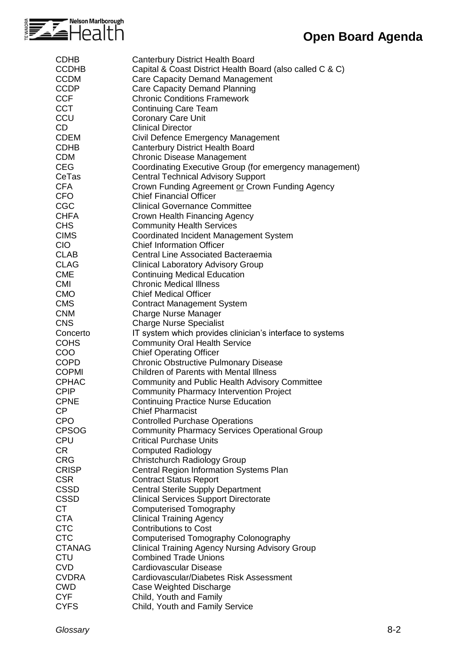

## **Open Board Agenda**

| <b>CDHB</b>   | <b>Canterbury District Health Board</b>                   |
|---------------|-----------------------------------------------------------|
| <b>CCDHB</b>  | Capital & Coast District Health Board (also called C & C) |
| <b>CCDM</b>   | <b>Care Capacity Demand Management</b>                    |
| <b>CCDP</b>   | Care Capacity Demand Planning                             |
| <b>CCF</b>    | <b>Chronic Conditions Framework</b>                       |
| <b>CCT</b>    | <b>Continuing Care Team</b>                               |
| CCU           | <b>Coronary Care Unit</b>                                 |
| CD            | <b>Clinical Director</b>                                  |
| <b>CDEM</b>   | Civil Defence Emergency Management                        |
| <b>CDHB</b>   | <b>Canterbury District Health Board</b>                   |
| <b>CDM</b>    | <b>Chronic Disease Management</b>                         |
| <b>CEG</b>    | Coordinating Executive Group (for emergency management)   |
|               |                                                           |
| CeTas         | <b>Central Technical Advisory Support</b>                 |
| <b>CFA</b>    | Crown Funding Agreement or Crown Funding Agency           |
| <b>CFO</b>    | <b>Chief Financial Officer</b>                            |
| <b>CGC</b>    | <b>Clinical Governance Committee</b>                      |
| <b>CHFA</b>   | Crown Health Financing Agency                             |
| <b>CHS</b>    | <b>Community Health Services</b>                          |
| <b>CIMS</b>   | Coordinated Incident Management System                    |
| <b>CIO</b>    | <b>Chief Information Officer</b>                          |
| <b>CLAB</b>   | <b>Central Line Associated Bacteraemia</b>                |
| <b>CLAG</b>   | <b>Clinical Laboratory Advisory Group</b>                 |
| <b>CME</b>    | <b>Continuing Medical Education</b>                       |
| <b>CMI</b>    | <b>Chronic Medical Illness</b>                            |
| <b>CMO</b>    | <b>Chief Medical Officer</b>                              |
| <b>CMS</b>    | <b>Contract Management System</b>                         |
| <b>CNM</b>    | <b>Charge Nurse Manager</b>                               |
| <b>CNS</b>    | <b>Charge Nurse Specialist</b>                            |
| Concerto      | IT system which provides clinician's interface to systems |
| <b>COHS</b>   |                                                           |
|               | <b>Community Oral Health Service</b>                      |
| <b>COO</b>    | <b>Chief Operating Officer</b>                            |
| <b>COPD</b>   | <b>Chronic Obstructive Pulmonary Disease</b>              |
| <b>COPMI</b>  | <b>Children of Parents with Mental Illness</b>            |
| <b>CPHAC</b>  | <b>Community and Public Health Advisory Committee</b>     |
| <b>CPIP</b>   | <b>Community Pharmacy Intervention Project</b>            |
| <b>CPNE</b>   | <b>Continuing Practice Nurse Education</b>                |
| CP            | <b>Chief Pharmacist</b>                                   |
| <b>CPO</b>    | <b>Controlled Purchase Operations</b>                     |
| <b>CPSOG</b>  | <b>Community Pharmacy Services Operational Group</b>      |
| <b>CPU</b>    | <b>Critical Purchase Units</b>                            |
| CR            | <b>Computed Radiology</b>                                 |
| <b>CRG</b>    | Christchurch Radiology Group                              |
| <b>CRISP</b>  | Central Region Information Systems Plan                   |
| <b>CSR</b>    | <b>Contract Status Report</b>                             |
| <b>CSSD</b>   | <b>Central Sterile Supply Department</b>                  |
| <b>CSSD</b>   | <b>Clinical Services Support Directorate</b>              |
| <b>CT</b>     | <b>Computerised Tomography</b>                            |
| <b>CTA</b>    | <b>Clinical Training Agency</b>                           |
|               |                                                           |
| <b>CTC</b>    | <b>Contributions to Cost</b>                              |
| <b>CTC</b>    | <b>Computerised Tomography Colonography</b>               |
| <b>CTANAG</b> | <b>Clinical Training Agency Nursing Advisory Group</b>    |
| <b>CTU</b>    | <b>Combined Trade Unions</b>                              |
| <b>CVD</b>    | Cardiovascular Disease                                    |
| <b>CVDRA</b>  | Cardiovascular/Diabetes Risk Assessment                   |
| <b>CWD</b>    | Case Weighted Discharge                                   |
| <b>CYF</b>    | Child, Youth and Family                                   |
| <b>CYFS</b>   | Child, Youth and Family Service                           |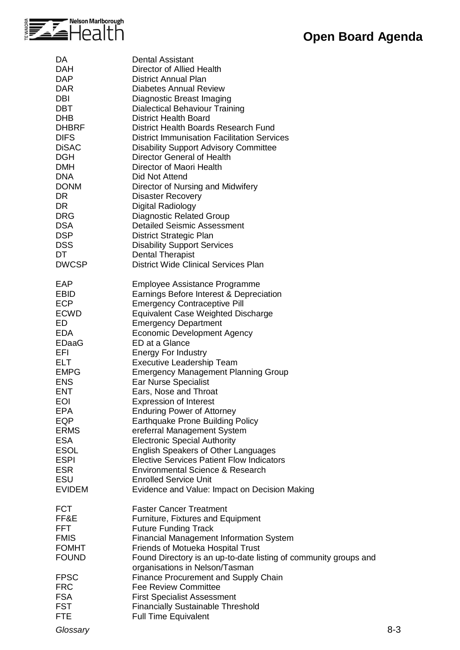

| DA           | <b>Dental Assistant</b>                                          |
|--------------|------------------------------------------------------------------|
| <b>DAH</b>   | Director of Allied Health                                        |
| <b>DAP</b>   | <b>District Annual Plan</b>                                      |
| <b>DAR</b>   | <b>Diabetes Annual Review</b>                                    |
| DBI          | Diagnostic Breast Imaging                                        |
| <b>DBT</b>   | <b>Dialectical Behaviour Training</b>                            |
| <b>DHB</b>   | <b>District Health Board</b>                                     |
| <b>DHBRF</b> | District Health Boards Research Fund                             |
| <b>DIFS</b>  | <b>District Immunisation Facilitation Services</b>               |
| <b>DiSAC</b> | <b>Disability Support Advisory Committee</b>                     |
| <b>DGH</b>   | Director General of Health                                       |
| <b>DMH</b>   | Director of Maori Health                                         |
| <b>DNA</b>   | Did Not Attend                                                   |
| <b>DONM</b>  | Director of Nursing and Midwifery                                |
| DR.          |                                                                  |
| DR.          | <b>Disaster Recovery</b>                                         |
|              | Digital Radiology                                                |
| <b>DRG</b>   | <b>Diagnostic Related Group</b>                                  |
| <b>DSA</b>   | <b>Detailed Seismic Assessment</b>                               |
| <b>DSP</b>   | District Strategic Plan                                          |
| <b>DSS</b>   | <b>Disability Support Services</b>                               |
| DT           | <b>Dental Therapist</b>                                          |
| <b>DWCSP</b> | <b>District Wide Clinical Services Plan</b>                      |
| EAP          | Employee Assistance Programme                                    |
| <b>EBID</b>  | Earnings Before Interest & Depreciation                          |
| <b>ECP</b>   | <b>Emergency Contraceptive Pill</b>                              |
| <b>ECWD</b>  | <b>Equivalent Case Weighted Discharge</b>                        |
| ED           | <b>Emergency Department</b>                                      |
| <b>EDA</b>   | <b>Economic Development Agency</b>                               |
| <b>EDaaG</b> | ED at a Glance                                                   |
| EFI          | <b>Energy For Industry</b>                                       |
| <b>ELT</b>   | Executive Leadership Team                                        |
| <b>EMPG</b>  | <b>Emergency Management Planning Group</b>                       |
| <b>ENS</b>   | <b>Ear Nurse Specialist</b>                                      |
| <b>ENT</b>   | Ears, Nose and Throat                                            |
| <b>EOI</b>   | <b>Expression of Interest</b>                                    |
| EPA          | <b>Enduring Power of Attorney</b>                                |
| EQP          | Earthquake Prone Building Policy                                 |
| <b>ERMS</b>  | ereferral Management System                                      |
| <b>ESA</b>   | <b>Electronic Special Authority</b>                              |
| <b>ESOL</b>  | <b>English Speakers of Other Languages</b>                       |
| <b>ESPI</b>  | <b>Elective Services Patient Flow Indicators</b>                 |
| <b>ESR</b>   | Environmental Science & Research                                 |
| <b>ESU</b>   | <b>Enrolled Service Unit</b>                                     |
| EVIDEM       | Evidence and Value: Impact on Decision Making                    |
|              |                                                                  |
| <b>FCT</b>   | <b>Faster Cancer Treatment</b>                                   |
| FF&E         | Furniture, Fixtures and Equipment                                |
| FFT          | <b>Future Funding Track</b>                                      |
| <b>FMIS</b>  | <b>Financial Management Information System</b>                   |
| <b>FOMHT</b> | Friends of Motueka Hospital Trust                                |
| <b>FOUND</b> | Found Directory is an up-to-date listing of community groups and |
|              | organisations in Nelson/Tasman                                   |
| <b>FPSC</b>  | <b>Finance Procurement and Supply Chain</b>                      |
| <b>FRC</b>   | <b>Fee Review Committee</b>                                      |
| <b>FSA</b>   | <b>First Specialist Assessment</b>                               |
| <b>FST</b>   | <b>Financially Sustainable Threshold</b>                         |
| <b>FTE</b>   | <b>Full Time Equivalent</b>                                      |
|              |                                                                  |

*Glossary* 8-3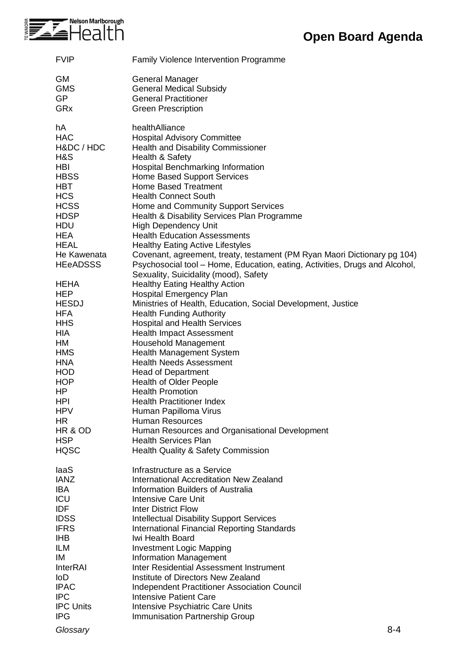

| <b>FVIP</b>               | <b>Family Violence Intervention Programme</b>                                 |
|---------------------------|-------------------------------------------------------------------------------|
| <b>GM</b>                 | General Manager                                                               |
| <b>GMS</b>                | <b>General Medical Subsidy</b>                                                |
| <b>GP</b>                 | <b>General Practitioner</b>                                                   |
| GRx                       | <b>Green Prescription</b>                                                     |
| hA                        | healthAlliance                                                                |
| <b>HAC</b>                | <b>Hospital Advisory Committee</b>                                            |
| H&DC / HDC                | <b>Health and Disability Commissioner</b>                                     |
| H&S                       | Health & Safety                                                               |
| <b>HBI</b>                | Hospital Benchmarking Information                                             |
| <b>HBSS</b><br><b>HBT</b> | Home Based Support Services<br><b>Home Based Treatment</b>                    |
| <b>HCS</b>                | <b>Health Connect South</b>                                                   |
| <b>HCSS</b>               | Home and Community Support Services                                           |
| <b>HDSP</b>               | Health & Disability Services Plan Programme                                   |
| <b>HDU</b>                | <b>High Dependency Unit</b>                                                   |
| <b>HEA</b>                | <b>Health Education Assessments</b>                                           |
| <b>HEAL</b>               | <b>Healthy Eating Active Lifestyles</b>                                       |
| He Kawenata               | Covenant, agreement, treaty, testament (PM Ryan Maori Dictionary pg 104)      |
| <b>HEeADSSS</b>           | Psychosocial tool – Home, Education, eating, Activities, Drugs and Alcohol,   |
|                           | Sexuality, Suicidality (mood), Safety                                         |
| <b>HEHA</b>               | <b>Healthy Eating Healthy Action</b>                                          |
| <b>HEP</b>                | <b>Hospital Emergency Plan</b>                                                |
| <b>HESDJ</b>              | Ministries of Health, Education, Social Development, Justice                  |
| <b>HFA</b><br><b>HHS</b>  | <b>Health Funding Authority</b><br><b>Hospital and Health Services</b>        |
| <b>HIA</b>                | <b>Health Impact Assessment</b>                                               |
| HM                        | <b>Household Management</b>                                                   |
| <b>HMS</b>                | <b>Health Management System</b>                                               |
| <b>HNA</b>                | <b>Health Needs Assessment</b>                                                |
| <b>HOD</b>                | <b>Head of Department</b>                                                     |
| <b>HOP</b>                | <b>Health of Older People</b>                                                 |
| <b>HP</b>                 | <b>Health Promotion</b>                                                       |
| <b>HPI</b>                | <b>Health Practitioner Index</b>                                              |
| <b>HPV</b>                | Human Papilloma Virus                                                         |
| HR                        | <b>Human Resources</b>                                                        |
| HR & OD<br><b>HSP</b>     | Human Resources and Organisational Development<br><b>Health Services Plan</b> |
| <b>HQSC</b>               | <b>Health Quality &amp; Safety Commission</b>                                 |
|                           |                                                                               |
| laaS                      | Infrastructure as a Service                                                   |
| <b>IANZ</b>               | International Accreditation New Zealand                                       |
| <b>IBA</b>                | <b>Information Builders of Australia</b>                                      |
| ICU<br><b>IDF</b>         | <b>Intensive Care Unit</b><br><b>Inter District Flow</b>                      |
| <b>IDSS</b>               | <b>Intellectual Disability Support Services</b>                               |
| <b>IFRS</b>               | <b>International Financial Reporting Standards</b>                            |
| <b>IHB</b>                | Iwi Health Board                                                              |
| <b>ILM</b>                | <b>Investment Logic Mapping</b>                                               |
| IM                        | <b>Information Management</b>                                                 |
| <b>InterRAI</b>           | Inter Residential Assessment Instrument                                       |
| loD                       | Institute of Directors New Zealand                                            |
| <b>IPAC</b>               | Independent Practitioner Association Council                                  |
| <b>IPC</b>                | <b>Intensive Patient Care</b>                                                 |
| <b>IPC Units</b>          | Intensive Psychiatric Care Units                                              |
| <b>IPG</b>                | <b>Immunisation Partnership Group</b>                                         |
| Glossary                  | $8 - 4$                                                                       |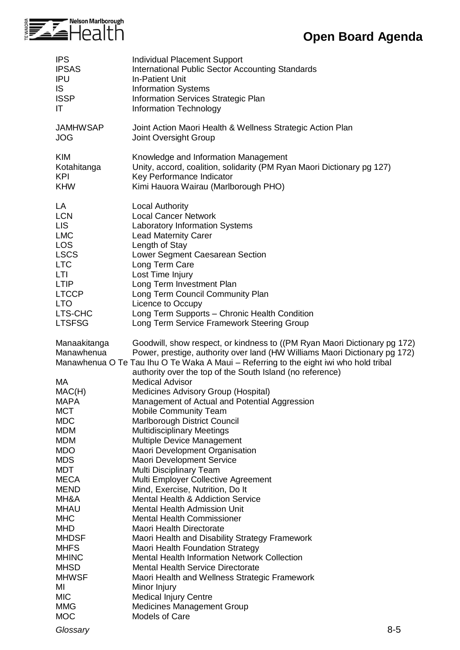

## **Open Board Agenda**

| <b>IPS</b>                 | Individual Placement Support                                                                                                                                                                                                                                                                                  |
|----------------------------|---------------------------------------------------------------------------------------------------------------------------------------------------------------------------------------------------------------------------------------------------------------------------------------------------------------|
| <b>IPSAS</b>               | <b>International Public Sector Accounting Standards</b>                                                                                                                                                                                                                                                       |
| <b>IPU</b>                 | <b>In-Patient Unit</b>                                                                                                                                                                                                                                                                                        |
| IS                         | <b>Information Systems</b>                                                                                                                                                                                                                                                                                    |
| <b>ISSP</b>                | Information Services Strategic Plan                                                                                                                                                                                                                                                                           |
| IT                         | Information Technology                                                                                                                                                                                                                                                                                        |
| <b>JAMHWSAP</b>            | Joint Action Maori Health & Wellness Strategic Action Plan                                                                                                                                                                                                                                                    |
| <b>JOG</b>                 | Joint Oversight Group                                                                                                                                                                                                                                                                                         |
| <b>KIM</b>                 | Knowledge and Information Management                                                                                                                                                                                                                                                                          |
| Kotahitanga                | Unity, accord, coalition, solidarity (PM Ryan Maori Dictionary pg 127)                                                                                                                                                                                                                                        |
| <b>KPI</b>                 | Key Performance Indicator                                                                                                                                                                                                                                                                                     |
| <b>KHW</b>                 | Kimi Hauora Wairau (Marlborough PHO)                                                                                                                                                                                                                                                                          |
| LA                         | <b>Local Authority</b>                                                                                                                                                                                                                                                                                        |
| <b>LCN</b>                 | <b>Local Cancer Network</b>                                                                                                                                                                                                                                                                                   |
| <b>LIS</b>                 | <b>Laboratory Information Systems</b>                                                                                                                                                                                                                                                                         |
| <b>LMC</b>                 | <b>Lead Maternity Carer</b>                                                                                                                                                                                                                                                                                   |
| <b>LOS</b>                 | Length of Stay                                                                                                                                                                                                                                                                                                |
| <b>LSCS</b>                | Lower Segment Caesarean Section                                                                                                                                                                                                                                                                               |
| <b>LTC</b>                 | Long Term Care                                                                                                                                                                                                                                                                                                |
| LTI                        | Lost Time Injury                                                                                                                                                                                                                                                                                              |
| <b>LTIP</b>                | Long Term Investment Plan                                                                                                                                                                                                                                                                                     |
| <b>LTCCP</b>               | Long Term Council Community Plan                                                                                                                                                                                                                                                                              |
| <b>LTO</b>                 | Licence to Occupy                                                                                                                                                                                                                                                                                             |
| LTS-CHC                    | Long Term Supports - Chronic Health Condition                                                                                                                                                                                                                                                                 |
| <b>LTSFSG</b>              | Long Term Service Framework Steering Group                                                                                                                                                                                                                                                                    |
| Manaakitanga<br>Manawhenua | Goodwill, show respect, or kindness to ((PM Ryan Maori Dictionary pg 172)<br>Power, prestige, authority over land (HW Williams Maori Dictionary pg 172)<br>Manawhenua O Te Tau Ihu O Te Waka A Maui - Referring to the eight iwi who hold tribal<br>authority over the top of the South Island (no reference) |
| МA                         | <b>Medical Advisor</b>                                                                                                                                                                                                                                                                                        |
| MAC(H)                     | Medicines Advisory Group (Hospital)                                                                                                                                                                                                                                                                           |
| MAPA                       | Management of Actual and Potential Aggression                                                                                                                                                                                                                                                                 |
| <b>MCT</b>                 | <b>Mobile Community Team</b>                                                                                                                                                                                                                                                                                  |
| <b>MDC</b>                 | Marlborough District Council                                                                                                                                                                                                                                                                                  |
| <b>MDM</b>                 | <b>Multidisciplinary Meetings</b>                                                                                                                                                                                                                                                                             |
| <b>MDM</b>                 | Multiple Device Management                                                                                                                                                                                                                                                                                    |
| <b>MDO</b>                 | Maori Development Organisation                                                                                                                                                                                                                                                                                |
| <b>MDS</b>                 | Maori Development Service                                                                                                                                                                                                                                                                                     |
| <b>MDT</b>                 | Multi Disciplinary Team                                                                                                                                                                                                                                                                                       |
| <b>MECA</b>                | Multi Employer Collective Agreement                                                                                                                                                                                                                                                                           |
| <b>MEND</b>                | Mind, Exercise, Nutrition, Do It                                                                                                                                                                                                                                                                              |
| MH&A                       | <b>Mental Health &amp; Addiction Service</b>                                                                                                                                                                                                                                                                  |
| <b>MHAU</b>                | <b>Mental Health Admission Unit</b>                                                                                                                                                                                                                                                                           |
| <b>MHC</b>                 | <b>Mental Health Commissioner</b>                                                                                                                                                                                                                                                                             |
| <b>MHD</b>                 | Maori Health Directorate                                                                                                                                                                                                                                                                                      |
| <b>MHDSF</b>               | Maori Health and Disability Strategy Framework                                                                                                                                                                                                                                                                |
| <b>MHFS</b>                | <b>Maori Health Foundation Strategy</b>                                                                                                                                                                                                                                                                       |
| <b>MHINC</b>               | <b>Mental Health Information Network Collection</b>                                                                                                                                                                                                                                                           |
| <b>MHSD</b>                | <b>Mental Health Service Directorate</b>                                                                                                                                                                                                                                                                      |
| <b>MHWSF</b>               | Maori Health and Wellness Strategic Framework                                                                                                                                                                                                                                                                 |
| MI                         | Minor Injury                                                                                                                                                                                                                                                                                                  |
| <b>MIC</b>                 | <b>Medical Injury Centre</b>                                                                                                                                                                                                                                                                                  |
| <b>MMG</b>                 | Medicines Management Group                                                                                                                                                                                                                                                                                    |
| <b>MOC</b>                 | <b>Models of Care</b>                                                                                                                                                                                                                                                                                         |
| Glossary                   | $8 - 5$                                                                                                                                                                                                                                                                                                       |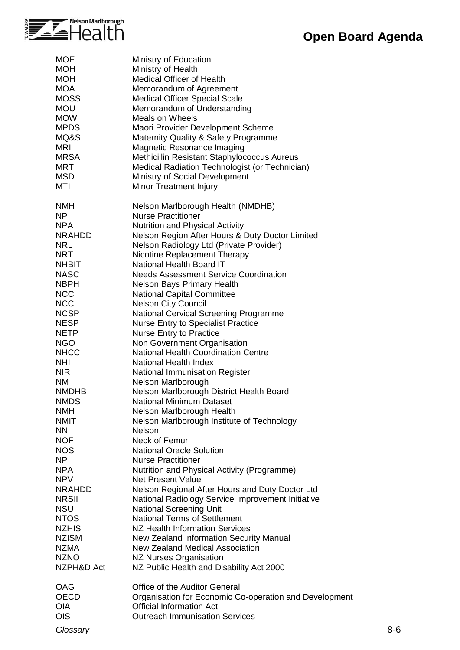

| <b>MOE</b><br><b>MOH</b><br><b>MOH</b><br><b>MOA</b><br><b>MOSS</b><br><b>MOU</b><br><b>MOW</b><br><b>MPDS</b><br>MQ&S<br><b>MRI</b><br><b>MRSA</b><br><b>MRT</b><br><b>MSD</b><br>MTI                                                                                                                                                                                                                                                                                                                                                                           | Ministry of Education<br>Ministry of Health<br>Medical Officer of Health<br>Memorandum of Agreement<br><b>Medical Officer Special Scale</b><br>Memorandum of Understanding<br><b>Meals on Wheels</b><br>Maori Provider Development Scheme<br>Maternity Quality & Safety Programme<br>Magnetic Resonance Imaging<br>Methicillin Resistant Staphylococcus Aureus<br>Medical Radiation Technologist (or Technician)<br>Ministry of Social Development<br>Minor Treatment Injury                                                                                                                                                                                                                                                                                                                                                                                                                                                                                                                                                                                                                                                                                                                                                                                                                                                                                                                                                                               |         |
|------------------------------------------------------------------------------------------------------------------------------------------------------------------------------------------------------------------------------------------------------------------------------------------------------------------------------------------------------------------------------------------------------------------------------------------------------------------------------------------------------------------------------------------------------------------|------------------------------------------------------------------------------------------------------------------------------------------------------------------------------------------------------------------------------------------------------------------------------------------------------------------------------------------------------------------------------------------------------------------------------------------------------------------------------------------------------------------------------------------------------------------------------------------------------------------------------------------------------------------------------------------------------------------------------------------------------------------------------------------------------------------------------------------------------------------------------------------------------------------------------------------------------------------------------------------------------------------------------------------------------------------------------------------------------------------------------------------------------------------------------------------------------------------------------------------------------------------------------------------------------------------------------------------------------------------------------------------------------------------------------------------------------------|---------|
| <b>NMH</b><br>NP<br><b>NPA</b><br><b>NRAHDD</b><br><b>NRL</b><br><b>NRT</b><br><b>NHBIT</b><br><b>NASC</b><br><b>NBPH</b><br><b>NCC</b><br><b>NCC</b><br><b>NCSP</b><br><b>NESP</b><br><b>NETP</b><br><b>NGO</b><br><b>NHCC</b><br><b>NHI</b><br><b>NIR</b><br><b>NM</b><br><b>NMDHB</b><br><b>NMDS</b><br><b>NMH</b><br><b>NMIT</b><br><b>NN</b><br><b>NOF</b><br><b>NOS</b><br><b>NP</b><br><b>NPA</b><br><b>NPV</b><br><b>NRAHDD</b><br><b>NRSII</b><br><b>NSU</b><br><b>NTOS</b><br><b>NZHIS</b><br><b>NZISM</b><br><b>NZMA</b><br><b>NZNO</b><br>NZPH&D Act | Nelson Marlborough Health (NMDHB)<br><b>Nurse Practitioner</b><br><b>Nutrition and Physical Activity</b><br>Nelson Region After Hours & Duty Doctor Limited<br>Nelson Radiology Ltd (Private Provider)<br>Nicotine Replacement Therapy<br><b>National Health Board IT</b><br><b>Needs Assessment Service Coordination</b><br><b>Nelson Bays Primary Health</b><br><b>National Capital Committee</b><br><b>Nelson City Council</b><br><b>National Cervical Screening Programme</b><br><b>Nurse Entry to Specialist Practice</b><br><b>Nurse Entry to Practice</b><br>Non Government Organisation<br><b>National Health Coordination Centre</b><br>National Health Index<br><b>National Immunisation Register</b><br>Nelson Marlborough<br>Nelson Marlborough District Health Board<br><b>National Minimum Dataset</b><br>Nelson Marlborough Health<br>Nelson Marlborough Institute of Technology<br>Nelson<br>Neck of Femur<br><b>National Oracle Solution</b><br><b>Nurse Practitioner</b><br>Nutrition and Physical Activity (Programme)<br><b>Net Present Value</b><br>Nelson Regional After Hours and Duty Doctor Ltd<br>National Radiology Service Improvement Initiative<br><b>National Screening Unit</b><br><b>National Terms of Settlement</b><br>NZ Health Information Services<br>New Zealand Information Security Manual<br><b>New Zealand Medical Association</b><br><b>NZ Nurses Organisation</b><br>NZ Public Health and Disability Act 2000 |         |
| OAG<br><b>OECD</b><br><b>OIA</b><br><b>OIS</b><br>Glossary                                                                                                                                                                                                                                                                                                                                                                                                                                                                                                       | Office of the Auditor General<br>Organisation for Economic Co-operation and Development<br><b>Official Information Act</b><br><b>Outreach Immunisation Services</b>                                                                                                                                                                                                                                                                                                                                                                                                                                                                                                                                                                                                                                                                                                                                                                                                                                                                                                                                                                                                                                                                                                                                                                                                                                                                                        | $8 - 6$ |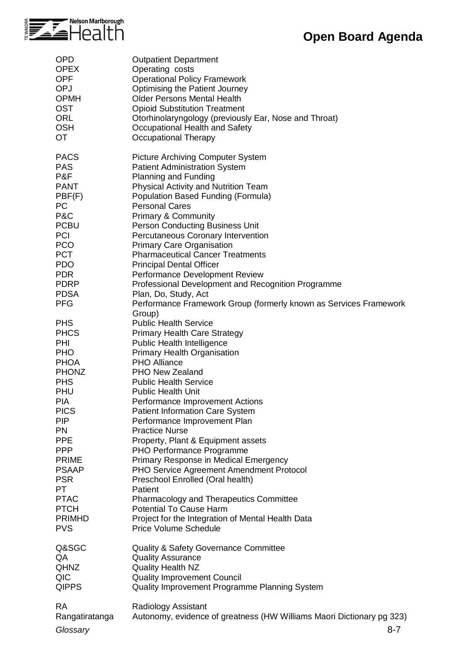

| <b>OPD</b>                                                                                                                                                                                                                                                                                        | <b>Outpatient Department</b>                                                                                                                                                                                                                                                                                                                                                                                                                                                                                                                                                                                                                                                                                                                                                   |
|---------------------------------------------------------------------------------------------------------------------------------------------------------------------------------------------------------------------------------------------------------------------------------------------------|--------------------------------------------------------------------------------------------------------------------------------------------------------------------------------------------------------------------------------------------------------------------------------------------------------------------------------------------------------------------------------------------------------------------------------------------------------------------------------------------------------------------------------------------------------------------------------------------------------------------------------------------------------------------------------------------------------------------------------------------------------------------------------|
| <b>OPEX</b>                                                                                                                                                                                                                                                                                       | Operating costs                                                                                                                                                                                                                                                                                                                                                                                                                                                                                                                                                                                                                                                                                                                                                                |
| <b>OPF</b>                                                                                                                                                                                                                                                                                        | <b>Operational Policy Framework</b>                                                                                                                                                                                                                                                                                                                                                                                                                                                                                                                                                                                                                                                                                                                                            |
| OPJ                                                                                                                                                                                                                                                                                               | Optimising the Patient Journey                                                                                                                                                                                                                                                                                                                                                                                                                                                                                                                                                                                                                                                                                                                                                 |
| <b>OPMH</b>                                                                                                                                                                                                                                                                                       | <b>Older Persons Mental Health</b>                                                                                                                                                                                                                                                                                                                                                                                                                                                                                                                                                                                                                                                                                                                                             |
| <b>OST</b>                                                                                                                                                                                                                                                                                        | <b>Opioid Substitution Treatment</b>                                                                                                                                                                                                                                                                                                                                                                                                                                                                                                                                                                                                                                                                                                                                           |
| <b>ORL</b>                                                                                                                                                                                                                                                                                        | Otorhinolaryngology (previously Ear, Nose and Throat)                                                                                                                                                                                                                                                                                                                                                                                                                                                                                                                                                                                                                                                                                                                          |
| <b>OSH</b>                                                                                                                                                                                                                                                                                        | Occupational Health and Safety                                                                                                                                                                                                                                                                                                                                                                                                                                                                                                                                                                                                                                                                                                                                                 |
| <b>OT</b>                                                                                                                                                                                                                                                                                         | <b>Occupational Therapy</b>                                                                                                                                                                                                                                                                                                                                                                                                                                                                                                                                                                                                                                                                                                                                                    |
| <b>PACS</b>                                                                                                                                                                                                                                                                                       | <b>Picture Archiving Computer System</b>                                                                                                                                                                                                                                                                                                                                                                                                                                                                                                                                                                                                                                                                                                                                       |
| <b>PAS</b>                                                                                                                                                                                                                                                                                        | <b>Patient Administration System</b>                                                                                                                                                                                                                                                                                                                                                                                                                                                                                                                                                                                                                                                                                                                                           |
| P&F                                                                                                                                                                                                                                                                                               | <b>Planning and Funding</b>                                                                                                                                                                                                                                                                                                                                                                                                                                                                                                                                                                                                                                                                                                                                                    |
| <b>PANT</b>                                                                                                                                                                                                                                                                                       | <b>Physical Activity and Nutrition Team</b>                                                                                                                                                                                                                                                                                                                                                                                                                                                                                                                                                                                                                                                                                                                                    |
| PBF(F)                                                                                                                                                                                                                                                                                            | Population Based Funding (Formula)                                                                                                                                                                                                                                                                                                                                                                                                                                                                                                                                                                                                                                                                                                                                             |
| PC                                                                                                                                                                                                                                                                                                | <b>Personal Cares</b>                                                                                                                                                                                                                                                                                                                                                                                                                                                                                                                                                                                                                                                                                                                                                          |
| P&C                                                                                                                                                                                                                                                                                               | <b>Primary &amp; Community</b>                                                                                                                                                                                                                                                                                                                                                                                                                                                                                                                                                                                                                                                                                                                                                 |
| <b>PCBU</b>                                                                                                                                                                                                                                                                                       | Person Conducting Business Unit                                                                                                                                                                                                                                                                                                                                                                                                                                                                                                                                                                                                                                                                                                                                                |
| <b>PCI</b>                                                                                                                                                                                                                                                                                        | Percutaneous Coronary Intervention                                                                                                                                                                                                                                                                                                                                                                                                                                                                                                                                                                                                                                                                                                                                             |
| <b>PCO</b>                                                                                                                                                                                                                                                                                        | <b>Primary Care Organisation</b>                                                                                                                                                                                                                                                                                                                                                                                                                                                                                                                                                                                                                                                                                                                                               |
| <b>PCT</b>                                                                                                                                                                                                                                                                                        | <b>Pharmaceutical Cancer Treatments</b>                                                                                                                                                                                                                                                                                                                                                                                                                                                                                                                                                                                                                                                                                                                                        |
| <b>PDO</b>                                                                                                                                                                                                                                                                                        | <b>Principal Dental Officer</b>                                                                                                                                                                                                                                                                                                                                                                                                                                                                                                                                                                                                                                                                                                                                                |
| <b>PDR</b>                                                                                                                                                                                                                                                                                        | Performance Development Review                                                                                                                                                                                                                                                                                                                                                                                                                                                                                                                                                                                                                                                                                                                                                 |
| <b>PDRP</b>                                                                                                                                                                                                                                                                                       | Professional Development and Recognition Programme                                                                                                                                                                                                                                                                                                                                                                                                                                                                                                                                                                                                                                                                                                                             |
| <b>PDSA</b>                                                                                                                                                                                                                                                                                       | Plan, Do, Study, Act                                                                                                                                                                                                                                                                                                                                                                                                                                                                                                                                                                                                                                                                                                                                                           |
| <b>PFG</b>                                                                                                                                                                                                                                                                                        | Performance Framework Group (formerly known as Services Framework                                                                                                                                                                                                                                                                                                                                                                                                                                                                                                                                                                                                                                                                                                              |
| <b>PHS</b><br><b>PHCS</b><br>PHI<br><b>PHO</b><br>PHOA<br><b>PHONZ</b><br><b>PHS</b><br>PHU<br><b>PIA</b><br><b>PICS</b><br><b>PIP</b><br><b>PN</b><br><b>PPE</b><br><b>PPP</b><br><b>PRIME</b><br><b>PSAAP</b><br><b>PSR</b><br>PT.<br><b>PTAC</b><br><b>PTCH</b><br><b>PRIMHD</b><br><b>PVS</b> | Group)<br><b>Public Health Service</b><br><b>Primary Health Care Strategy</b><br>Public Health Intelligence<br><b>Primary Health Organisation</b><br>PHO Alliance<br><b>PHO New Zealand</b><br><b>Public Health Service</b><br><b>Public Health Unit</b><br>Performance Improvement Actions<br><b>Patient Information Care System</b><br>Performance Improvement Plan<br><b>Practice Nurse</b><br>Property, Plant & Equipment assets<br>PHO Performance Programme<br>Primary Response in Medical Emergency<br>PHO Service Agreement Amendment Protocol<br>Preschool Enrolled (Oral health)<br>Patient<br><b>Pharmacology and Therapeutics Committee</b><br><b>Potential To Cause Harm</b><br>Project for the Integration of Mental Health Data<br><b>Price Volume Schedule</b> |
| Q&SGC                                                                                                                                                                                                                                                                                             | <b>Quality &amp; Safety Governance Committee</b>                                                                                                                                                                                                                                                                                                                                                                                                                                                                                                                                                                                                                                                                                                                               |
| QA                                                                                                                                                                                                                                                                                                | <b>Quality Assurance</b>                                                                                                                                                                                                                                                                                                                                                                                                                                                                                                                                                                                                                                                                                                                                                       |
| <b>QHNZ</b>                                                                                                                                                                                                                                                                                       | <b>Quality Health NZ</b>                                                                                                                                                                                                                                                                                                                                                                                                                                                                                                                                                                                                                                                                                                                                                       |
| QIC                                                                                                                                                                                                                                                                                               | <b>Quality Improvement Council</b>                                                                                                                                                                                                                                                                                                                                                                                                                                                                                                                                                                                                                                                                                                                                             |
| <b>QIPPS</b>                                                                                                                                                                                                                                                                                      | Quality Improvement Programme Planning System                                                                                                                                                                                                                                                                                                                                                                                                                                                                                                                                                                                                                                                                                                                                  |
| <b>RA</b>                                                                                                                                                                                                                                                                                         | Radiology Assistant                                                                                                                                                                                                                                                                                                                                                                                                                                                                                                                                                                                                                                                                                                                                                            |
| Rangatiratanga                                                                                                                                                                                                                                                                                    | Autonomy, evidence of greatness (HW Williams Maori Dictionary pg 323)                                                                                                                                                                                                                                                                                                                                                                                                                                                                                                                                                                                                                                                                                                          |
| Glossary                                                                                                                                                                                                                                                                                          | $8 - 7$                                                                                                                                                                                                                                                                                                                                                                                                                                                                                                                                                                                                                                                                                                                                                                        |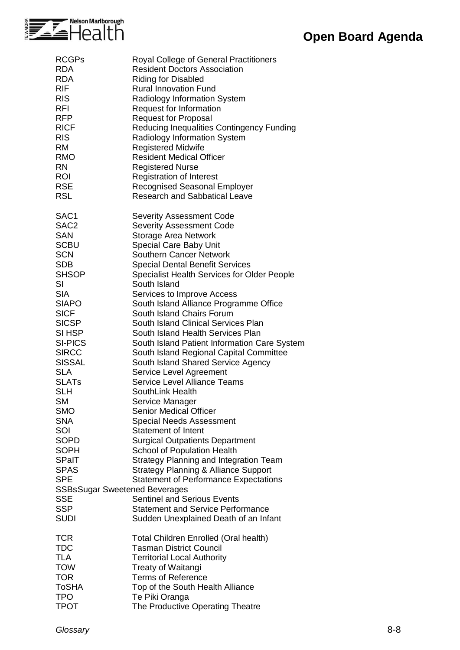

| <b>RCGPs</b>                         | Royal College of General Practitioners             |
|--------------------------------------|----------------------------------------------------|
| <b>RDA</b>                           | <b>Resident Doctors Association</b>                |
| <b>RDA</b>                           | <b>Riding for Disabled</b>                         |
| <b>RIF</b>                           | <b>Rural Innovation Fund</b>                       |
| <b>RIS</b>                           | Radiology Information System                       |
| <b>RFI</b>                           |                                                    |
|                                      | Request for Information                            |
| <b>RFP</b>                           | <b>Request for Proposal</b>                        |
| <b>RICF</b>                          | Reducing Inequalities Contingency Funding          |
| <b>RIS</b>                           | Radiology Information System                       |
| <b>RM</b>                            | <b>Registered Midwife</b>                          |
| <b>RMO</b>                           | <b>Resident Medical Officer</b>                    |
| <b>RN</b>                            | <b>Registered Nurse</b>                            |
| <b>ROI</b>                           | <b>Registration of Interest</b>                    |
| <b>RSE</b>                           | <b>Recognised Seasonal Employer</b>                |
| <b>RSL</b>                           | <b>Research and Sabbatical Leave</b>               |
|                                      |                                                    |
| SAC1                                 | <b>Severity Assessment Code</b>                    |
| SAC <sub>2</sub>                     |                                                    |
|                                      | <b>Severity Assessment Code</b>                    |
| <b>SAN</b>                           | Storage Area Network                               |
| <b>SCBU</b>                          | Special Care Baby Unit                             |
| <b>SCN</b>                           | <b>Southern Cancer Network</b>                     |
| <b>SDB</b>                           | <b>Special Dental Benefit Services</b>             |
| <b>SHSOP</b>                         | <b>Specialist Health Services for Older People</b> |
| SI                                   | South Island                                       |
| <b>SIA</b>                           | Services to Improve Access                         |
| <b>SIAPO</b>                         | South Island Alliance Programme Office             |
| <b>SICF</b>                          | South Island Chairs Forum                          |
| <b>SICSP</b>                         | South Island Clinical Services Plan                |
|                                      |                                                    |
| SI HSP                               | South Island Health Services Plan                  |
| <b>SI-PICS</b>                       | South Island Patient Information Care System       |
| <b>SIRCC</b>                         | South Island Regional Capital Committee            |
| <b>SISSAL</b>                        | South Island Shared Service Agency                 |
| <b>SLA</b>                           | Service Level Agreement                            |
| <b>SLATs</b>                         | <b>Service Level Alliance Teams</b>                |
| <b>SLH</b>                           | SouthLink Health                                   |
| <b>SM</b>                            | Service Manager                                    |
| <b>SMO</b>                           | <b>Senior Medical Officer</b>                      |
| <b>SNA</b>                           |                                                    |
|                                      | <b>Special Needs Assessment</b>                    |
| SOI                                  | Statement of Intent                                |
| SOPD                                 | <b>Surgical Outpatients Department</b>             |
| <b>SOPH</b>                          | School of Population Health                        |
| <b>SPaIT</b>                         | Strategy Planning and Integration Team             |
| <b>SPAS</b>                          | <b>Strategy Planning &amp; Alliance Support</b>    |
| <b>SPE</b>                           | <b>Statement of Performance Expectations</b>       |
| <b>SSBsSugar Sweetened Beverages</b> |                                                    |
| <b>SSE</b>                           | <b>Sentinel and Serious Events</b>                 |
| <b>SSP</b>                           | <b>Statement and Service Performance</b>           |
| <b>SUDI</b>                          | Sudden Unexplained Death of an Infant              |
|                                      |                                                    |
| <b>TCR</b>                           | Total Children Enrolled (Oral health)              |
|                                      |                                                    |
| <b>TDC</b>                           | <b>Tasman District Council</b>                     |
| TLA                                  | <b>Territorial Local Authority</b>                 |
| <b>TOW</b>                           | Treaty of Waitangi                                 |
| <b>TOR</b>                           | <b>Terms of Reference</b>                          |
| ToSHA                                | Top of the South Health Alliance                   |
| <b>TPO</b>                           | Te Piki Oranga                                     |
| <b>TPOT</b>                          | The Productive Operating Theatre                   |
|                                      |                                                    |